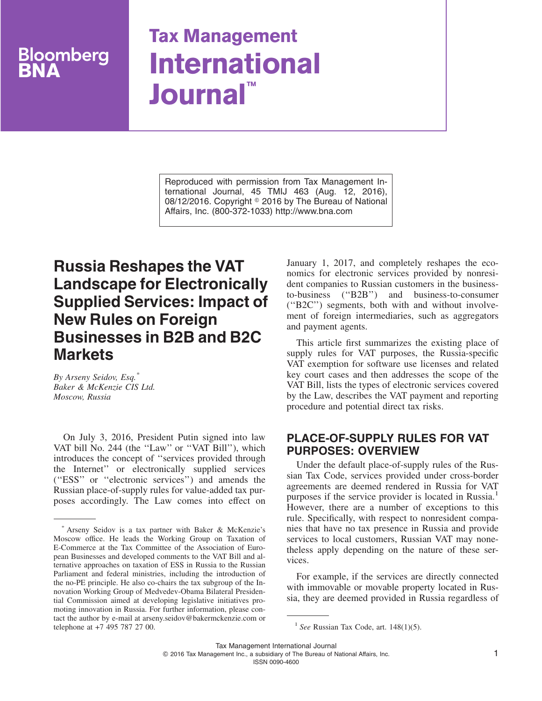# pomberg

## **Tax Management International Journal™**

Reproduced with permission from Tax Management International Journal, 45 TMIJ 463 (Aug. 12, 2016), 08/12/2016. Copyright © 2016 by The Bureau of National Affairs, Inc. (800-372-1033) http://www.bna.com

### **Russia Reshapes the VAT Landscape for Electronically Supplied Services: Impact of New Rules on Foreign Businesses in B2B and B2C Markets**

*By Arseny Seidov, Esq.\* Baker & McKenzie CIS Ltd. Moscow, Russia*

On July 3, 2016, President Putin signed into law VAT bill No. 244 (the ''Law'' or ''VAT Bill''), which introduces the concept of ''services provided through the Internet'' or electronically supplied services (''ESS'' or ''electronic services'') and amends the Russian place-of-supply rules for value-added tax purposes accordingly. The Law comes into effect on January 1, 2017, and completely reshapes the economics for electronic services provided by nonresident companies to Russian customers in the businessto-business (''B2B'') and business-to-consumer (''B2C'') segments, both with and without involvement of foreign intermediaries, such as aggregators and payment agents.

This article first summarizes the existing place of supply rules for VAT purposes, the Russia-specific VAT exemption for software use licenses and related key court cases and then addresses the scope of the VAT Bill, lists the types of electronic services covered by the Law, describes the VAT payment and reporting procedure and potential direct tax risks.

#### **PLACE-OF-SUPPLY RULES FOR VAT PURPOSES: OVERVIEW**

Under the default place-of-supply rules of the Russian Tax Code, services provided under cross-border agreements are deemed rendered in Russia for VAT purposes if the service provider is located in Russia.<sup>1</sup> However, there are a number of exceptions to this rule. Specifically, with respect to nonresident companies that have no tax presence in Russia and provide services to local customers, Russian VAT may nonetheless apply depending on the nature of these services.

For example, if the services are directly connected with immovable or movable property located in Russia, they are deemed provided in Russia regardless of

<sup>\*</sup> Arseny Seidov is a tax partner with Baker & McKenzie's Moscow office. He leads the Working Group on Taxation of E-Commerce at the Tax Committee of the Association of European Businesses and developed comments to the VAT Bill and alternative approaches on taxation of ESS in Russia to the Russian Parliament and federal ministries, including the introduction of the no-PE principle. He also co-chairs the tax subgroup of the Innovation Working Group of Medvedev-Obama Bilateral Presidential Commission aimed at developing legislative initiatives promoting innovation in Russia. For further information, please contact the author by e-mail at arseny.seidov@bakermckenzie.com or telephone at +7 495 787 27 00. 1 **See Russian Tax Code, art.** 148(1)(5).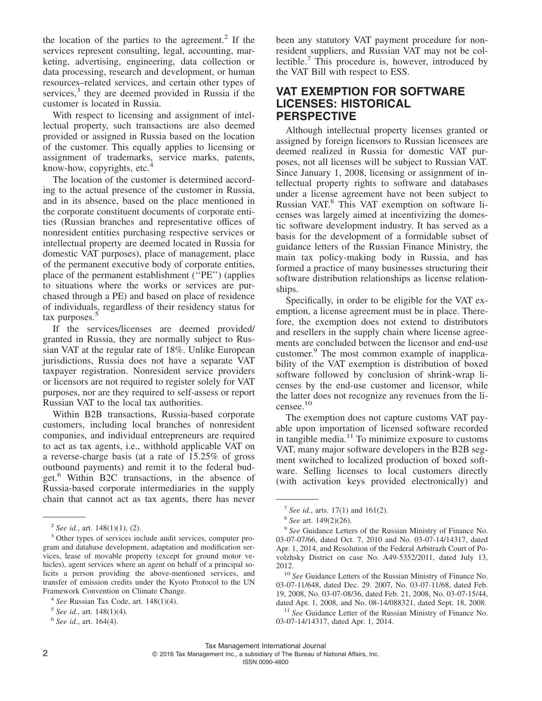the location of the parties to the agreement.<sup>2</sup> If the services represent consulting, legal, accounting, marketing, advertising, engineering, data collection or data processing, research and development, or human resources–related services, and certain other types of services, $3$  they are deemed provided in Russia if the customer is located in Russia.

With respect to licensing and assignment of intellectual property, such transactions are also deemed provided or assigned in Russia based on the location of the customer. This equally applies to licensing or assignment of trademarks, service marks, patents, know-how, copyrights, etc.<sup>4</sup>

The location of the customer is determined according to the actual presence of the customer in Russia, and in its absence, based on the place mentioned in the corporate constituent documents of corporate entities (Russian branches and representative offices of nonresident entities purchasing respective services or intellectual property are deemed located in Russia for domestic VAT purposes), place of management, place of the permanent executive body of corporate entities, place of the permanent establishment (''PE'') (applies to situations where the works or services are purchased through a PE) and based on place of residence of individuals, regardless of their residency status for tax purposes.<sup>5</sup>

If the services/licenses are deemed provided/ granted in Russia, they are normally subject to Russian VAT at the regular rate of 18%. Unlike European jurisdictions, Russia does not have a separate VAT taxpayer registration. Nonresident service providers or licensors are not required to register solely for VAT purposes, nor are they required to self-assess or report Russian VAT to the local tax authorities.

Within B2B transactions, Russia-based corporate customers, including local branches of nonresident companies, and individual entrepreneurs are required to act as tax agents, i.e., withhold applicable VAT on a reverse-charge basis (at a rate of 15.25% of gross outbound payments) and remit it to the federal budget.<sup>6</sup> Within B2C transactions, in the absence of Russia-based corporate intermediaries in the supply chain that cannot act as tax agents, there has never been any statutory VAT payment procedure for nonresident suppliers, and Russian VAT may not be collectible.<sup>7</sup> This procedure is, however, introduced by the VAT Bill with respect to ESS.

#### **VAT EXEMPTION FOR SOFTWARE LICENSES: HISTORICAL PERSPECTIVE**

Although intellectual property licenses granted or assigned by foreign licensors to Russian licensees are deemed realized in Russia for domestic VAT purposes, not all licenses will be subject to Russian VAT. Since January 1, 2008, licensing or assignment of intellectual property rights to software and databases under a license agreement have not been subject to Russian VAT.<sup>8</sup> This VAT exemption on software licenses was largely aimed at incentivizing the domestic software development industry. It has served as a basis for the development of a formidable subset of guidance letters of the Russian Finance Ministry, the main tax policy-making body in Russia, and has formed a practice of many businesses structuring their software distribution relationships as license relationships.

Specifically, in order to be eligible for the VAT exemption, a license agreement must be in place. Therefore, the exemption does not extend to distributors and resellers in the supply chain where license agreements are concluded between the licensor and end-use customer.9 The most common example of inapplicability of the VAT exemption is distribution of boxed software followed by conclusion of shrink-wrap licenses by the end-use customer and licensor, while the latter does not recognize any revenues from the licensee.<sup>10</sup>

The exemption does not capture customs VAT payable upon importation of licensed software recorded in tangible media.<sup>11</sup> To minimize exposure to customs VAT, many major software developers in the B2B segment switched to localized production of boxed software. Selling licenses to local customers directly (with activation keys provided electronically) and

<sup>2</sup> *See id.*, art. 148(1)(1), (2).

<sup>3</sup> Other types of services include audit services, computer program and database development, adaptation and modification services, lease of movable property (except for ground motor vehicles), agent services where an agent on behalf of a principal solicits a person providing the above-mentioned services, and transfer of emission credits under the Kyoto Protocol to the UN Framework Convention on Climate Change.

<sup>4</sup> *See* Russian Tax Code, art. 148(1)(4).

<sup>5</sup> *See id.*, art. 148(1)(4).

<sup>6</sup> *See id.*, art. 164(4).

<sup>7</sup> *See id.*, arts. 17(1) and 161(2).

<sup>8</sup> *See* art. 149(2)(26).

<sup>9</sup> *See* Guidance Letters of the Russian Ministry of Finance No. 03-07-07/66, dated Oct. 7, 2010 and No. 03-07-14/14317, dated Apr. 1, 2014, and Resolution of the Federal Arbitrazh Court of Povolzhsky District on case No. A49-5352/2011, dated July 13, 2012.

<sup>10</sup> *See* Guidance Letters of the Russian Ministry of Finance No. 03-07-11/648, dated Dec. 29. 2007, No. 03-07-11/68, dated Feb. 19, 2008, No. 03-07-08/36, dated Feb. 21, 2008, No. 03-07-15/44, dated Apr. 1, 2008, and No. 08-14/088321, dated Sept. 18, 2008.

<sup>&</sup>lt;sup>11</sup> See Guidance Letter of the Russian Ministry of Finance No. 03-07-14/14317, dated Apr. 1, 2014.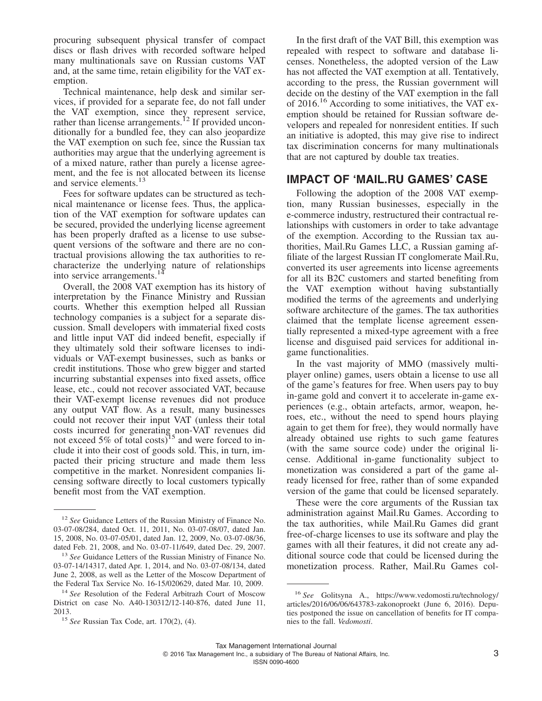procuring subsequent physical transfer of compact discs or flash drives with recorded software helped many multinationals save on Russian customs VAT and, at the same time, retain eligibility for the VAT exemption.

Technical maintenance, help desk and similar services, if provided for a separate fee, do not fall under the VAT exemption, since they represent service, rather than license arrangements.<sup>12</sup> If provided unconditionally for a bundled fee, they can also jeopardize the VAT exemption on such fee, since the Russian tax authorities may argue that the underlying agreement is of a mixed nature, rather than purely a license agreement, and the fee is not allocated between its license and service elements.<sup>13</sup>

Fees for software updates can be structured as technical maintenance or license fees. Thus, the application of the VAT exemption for software updates can be secured, provided the underlying license agreement has been properly drafted as a license to use subsequent versions of the software and there are no contractual provisions allowing the tax authorities to recharacterize the underlying nature of relationships into service arrangements.<sup>14</sup>

Overall, the 2008 VAT exemption has its history of interpretation by the Finance Ministry and Russian courts. Whether this exemption helped all Russian technology companies is a subject for a separate discussion. Small developers with immaterial fixed costs and little input VAT did indeed benefit, especially if they ultimately sold their software licenses to individuals or VAT-exempt businesses, such as banks or credit institutions. Those who grew bigger and started incurring substantial expenses into fixed assets, office lease, etc., could not recover associated VAT, because their VAT-exempt license revenues did not produce any output VAT flow. As a result, many businesses could not recover their input VAT (unless their total costs incurred for generating non-VAT revenues did not exceed 5% of total costs)<sup>15</sup> and were forced to include it into their cost of goods sold. This, in turn, impacted their pricing structure and made them less competitive in the market. Nonresident companies licensing software directly to local customers typically benefit most from the VAT exemption.

In the first draft of the VAT Bill, this exemption was repealed with respect to software and database licenses. Nonetheless, the adopted version of the Law has not affected the VAT exemption at all. Tentatively, according to the press, the Russian government will decide on the destiny of the VAT exemption in the fall of 2016.<sup>16</sup> According to some initiatives, the VAT exemption should be retained for Russian software developers and repealed for nonresident entities. If such an initiative is adopted, this may give rise to indirect tax discrimination concerns for many multinationals that are not captured by double tax treaties.

#### **IMPACT OF 'MAIL.RU GAMES' CASE**

Following the adoption of the 2008 VAT exemption, many Russian businesses, especially in the e-commerce industry, restructured their contractual relationships with customers in order to take advantage of the exemption. According to the Russian tax authorities, Mail.Ru Games LLC, a Russian gaming affiliate of the largest Russian IT conglomerate Mail.Ru, converted its user agreements into license agreements for all its B2C customers and started benefiting from the VAT exemption without having substantially modified the terms of the agreements and underlying software architecture of the games. The tax authorities claimed that the template license agreement essentially represented a mixed-type agreement with a free license and disguised paid services for additional ingame functionalities.

In the vast majority of MMO (massively multiplayer online) games, users obtain a license to use all of the game's features for free. When users pay to buy in-game gold and convert it to accelerate in-game experiences (e.g., obtain artefacts, armor, weapon, heroes, etc., without the need to spend hours playing again to get them for free), they would normally have already obtained use rights to such game features (with the same source code) under the original license. Additional in-game functionality subject to monetization was considered a part of the game already licensed for free, rather than of some expanded version of the game that could be licensed separately.

These were the core arguments of the Russian tax administration against Mail.Ru Games. According to the tax authorities, while Mail.Ru Games did grant free-of-charge licenses to use its software and play the games with all their features, it did not create any additional source code that could be licensed during the monetization process. Rather, Mail.Ru Games col-

<sup>12</sup> *See* Guidance Letters of the Russian Ministry of Finance No. 03-07-08/284, dated Oct. 11, 2011, No. 03-07-08/07, dated Jan. 15, 2008, No. 03-07-05/01, dated Jan. 12, 2009, No. 03-07-08/36, dated Feb. 21, 2008, and No. 03-07-11/649, dated Dec. 29, 2007.

<sup>13</sup> *See* Guidance Letters of the Russian Ministry of Finance No. 03-07-14/14317, dated Apr. 1, 2014, and No. 03-07-08/134, dated June 2, 2008, as well as the Letter of the Moscow Department of the Federal Tax Service No. 16-15/020629, dated Mar. 10, 2009.

<sup>14</sup> *See* Resolution of the Federal Arbitrazh Court of Moscow District on case No. A40-130312/12-140-876, dated June 11, 2013.

<sup>15</sup> *See* Russian Tax Code, art. 170(2), (4).

<sup>16</sup> *See* Golitsyna A., [https://www.vedomosti.ru/technology/](https://www.vedomosti.ru/technology/articles/2016/06/06/643783-zakonoproekt) [articles/2016/06/06/643783-zakonoproekt](https://www.vedomosti.ru/technology/articles/2016/06/06/643783-zakonoproekt) (June 6, 2016). Deputies postponed the issue on cancellation of benefits for IT companies to the fall. *Vedomosti*.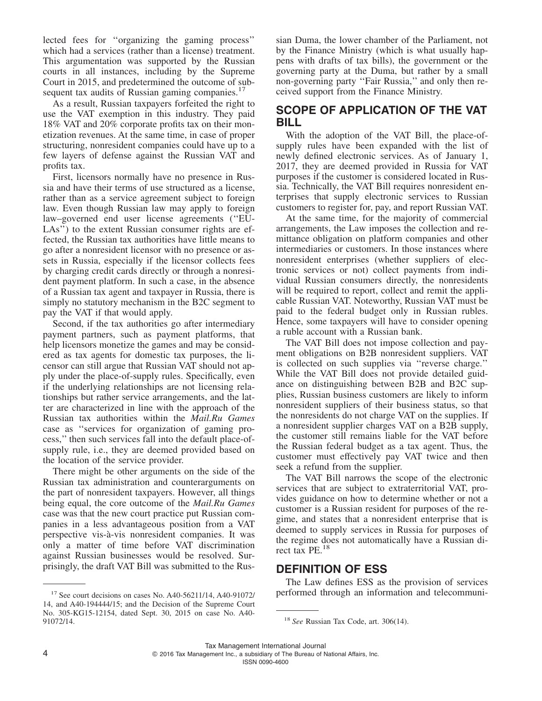lected fees for ''organizing the gaming process'' which had a services (rather than a license) treatment. This argumentation was supported by the Russian courts in all instances, including by the Supreme Court in 2015, and predetermined the outcome of subsequent tax audits of Russian gaming companies.<sup>17</sup>

As a result, Russian taxpayers forfeited the right to use the VAT exemption in this industry. They paid 18% VAT and 20% corporate profits tax on their monetization revenues. At the same time, in case of proper structuring, nonresident companies could have up to a few layers of defense against the Russian VAT and profits tax.

First, licensors normally have no presence in Russia and have their terms of use structured as a license, rather than as a service agreement subject to foreign law. Even though Russian law may apply to foreign law–governed end user license agreements (''EU-LAs") to the extent Russian consumer rights are effected, the Russian tax authorities have little means to go after a nonresident licensor with no presence or assets in Russia, especially if the licensor collects fees by charging credit cards directly or through a nonresident payment platform. In such a case, in the absence of a Russian tax agent and taxpayer in Russia, there is simply no statutory mechanism in the B2C segment to pay the VAT if that would apply.

Second, if the tax authorities go after intermediary payment partners, such as payment platforms, that help licensors monetize the games and may be considered as tax agents for domestic tax purposes, the licensor can still argue that Russian VAT should not apply under the place-of-supply rules. Specifically, even if the underlying relationships are not licensing relationships but rather service arrangements, and the latter are characterized in line with the approach of the Russian tax authorities within the *Mail.Ru Games* case as ''services for organization of gaming process,'' then such services fall into the default place-ofsupply rule, i.e., they are deemed provided based on the location of the service provider.

There might be other arguments on the side of the Russian tax administration and counterarguments on the part of nonresident taxpayers. However, all things being equal, the core outcome of the *Mail.Ru Games* case was that the new court practice put Russian companies in a less advantageous position from a VAT perspective vis-a`-vis nonresident companies. It was only a matter of time before VAT discrimination against Russian businesses would be resolved. Surprisingly, the draft VAT Bill was submitted to the Russian Duma, the lower chamber of the Parliament, not by the Finance Ministry (which is what usually happens with drafts of tax bills), the government or the governing party at the Duma, but rather by a small non-governing party ''Fair Russia,'' and only then received support from the Finance Ministry.

#### **SCOPE OF APPLICATION OF THE VAT BILL**

With the adoption of the VAT Bill, the place-ofsupply rules have been expanded with the list of newly defined electronic services. As of January 1, 2017, they are deemed provided in Russia for VAT purposes if the customer is considered located in Russia. Technically, the VAT Bill requires nonresident enterprises that supply electronic services to Russian customers to register for, pay, and report Russian VAT.

At the same time, for the majority of commercial arrangements, the Law imposes the collection and remittance obligation on platform companies and other intermediaries or customers. In those instances where nonresident enterprises (whether suppliers of electronic services or not) collect payments from individual Russian consumers directly, the nonresidents will be required to report, collect and remit the applicable Russian VAT. Noteworthy, Russian VAT must be paid to the federal budget only in Russian rubles. Hence, some taxpayers will have to consider opening a ruble account with a Russian bank.

The VAT Bill does not impose collection and payment obligations on B2B nonresident suppliers. VAT is collected on such supplies via ''reverse charge.'' While the VAT Bill does not provide detailed guidance on distinguishing between B2B and B2C supplies, Russian business customers are likely to inform nonresident suppliers of their business status, so that the nonresidents do not charge VAT on the supplies. If a nonresident supplier charges VAT on a B2B supply, the customer still remains liable for the VAT before the Russian federal budget as a tax agent. Thus, the customer must effectively pay VAT twice and then seek a refund from the supplier.

The VAT Bill narrows the scope of the electronic services that are subject to extraterritorial VAT, provides guidance on how to determine whether or not a customer is a Russian resident for purposes of the regime, and states that a nonresident enterprise that is deemed to supply services in Russia for purposes of the regime does not automatically have a Russian direct tax PE.<sup>18</sup>

#### **DEFINITION OF ESS**

The Law defines ESS as the provision of services <sup>17</sup> See court decisions on cases No. A40-56211/14, A40-91072/ performed through an information and telecommuni-

Tax Management International Journal

2016 Tax Management Inc., a subsidiary of The Bureau of National Affairs, Inc.

<sup>14,</sup> and A40-194444/15; and the Decision of the Supreme Court No. 305-KG15-12154, dated Sept. 30, 2015 on case No. A40- 91072/14. <sup>18</sup> *See* Russian Tax Code, art. 306(14).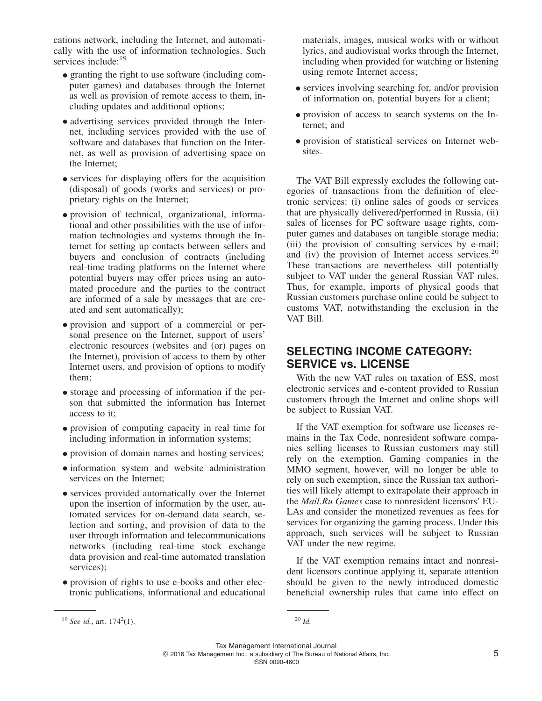cations network, including the Internet, and automatically with the use of information technologies. Such services include:<sup>19</sup>

- granting the right to use software (including computer games) and databases through the Internet as well as provision of remote access to them, including updates and additional options;
- advertising services provided through the Internet, including services provided with the use of software and databases that function on the Internet, as well as provision of advertising space on the Internet;
- services for displaying offers for the acquisition (disposal) of goods (works and services) or proprietary rights on the Internet;
- provision of technical, organizational, informational and other possibilities with the use of information technologies and systems through the Internet for setting up contacts between sellers and buyers and conclusion of contracts (including real-time trading platforms on the Internet where potential buyers may offer prices using an automated procedure and the parties to the contract are informed of a sale by messages that are created and sent automatically);
- provision and support of a commercial or personal presence on the Internet, support of users' electronic resources (websites and (or) pages on the Internet), provision of access to them by other Internet users, and provision of options to modify them;
- storage and processing of information if the person that submitted the information has Internet access to it;
- provision of computing capacity in real time for including information in information systems;
- provision of domain names and hosting services;
- •information system and website administration services on the Internet;
- services provided automatically over the Internet upon the insertion of information by the user, automated services for on-demand data search, selection and sorting, and provision of data to the user through information and telecommunications networks (including real-time stock exchange data provision and real-time automated translation services);
- provision of rights to use e-books and other electronic publications, informational and educational

materials, images, musical works with or without lyrics, and audiovisual works through the Internet, including when provided for watching or listening using remote Internet access;

- services involving searching for, and/or provision of information on, potential buyers for a client;
- provision of access to search systems on the Internet; and
- provision of statistical services on Internet websites.

The VAT Bill expressly excludes the following categories of transactions from the definition of electronic services: (i) online sales of goods or services that are physically delivered/performed in Russia, (ii) sales of licenses for PC software usage rights, computer games and databases on tangible storage media; (iii) the provision of consulting services by e-mail; and (iv) the provision of Internet access services.<sup>20</sup> These transactions are nevertheless still potentially subject to VAT under the general Russian VAT rules. Thus, for example, imports of physical goods that Russian customers purchase online could be subject to customs VAT, notwithstanding the exclusion in the VAT Bill.

#### **SELECTING INCOME CATEGORY: SERVICE vs. LICENSE**

With the new VAT rules on taxation of ESS, most electronic services and e-content provided to Russian customers through the Internet and online shops will be subject to Russian VAT.

If the VAT exemption for software use licenses remains in the Tax Code, nonresident software companies selling licenses to Russian customers may still rely on the exemption. Gaming companies in the MMO segment, however, will no longer be able to rely on such exemption, since the Russian tax authorities will likely attempt to extrapolate their approach in the *Mail.Ru Games* case to nonresident licensors' EU-LAs and consider the monetized revenues as fees for services for organizing the gaming process. Under this approach, such services will be subject to Russian VAT under the new regime.

If the VAT exemption remains intact and nonresident licensors continue applying it, separate attention should be given to the newly introduced domestic beneficial ownership rules that came into effect on

Tax Management International Journal © 2016 Tax Management Inc., a subsidiary of The Bureau of National Affairs, Inc. 5 ISSN 0090-4600

<sup>&</sup>lt;sup>19</sup> *See id.*, art. 174<sup>2</sup>(1).

 $(1).$  <sup>20</sup> *Id.*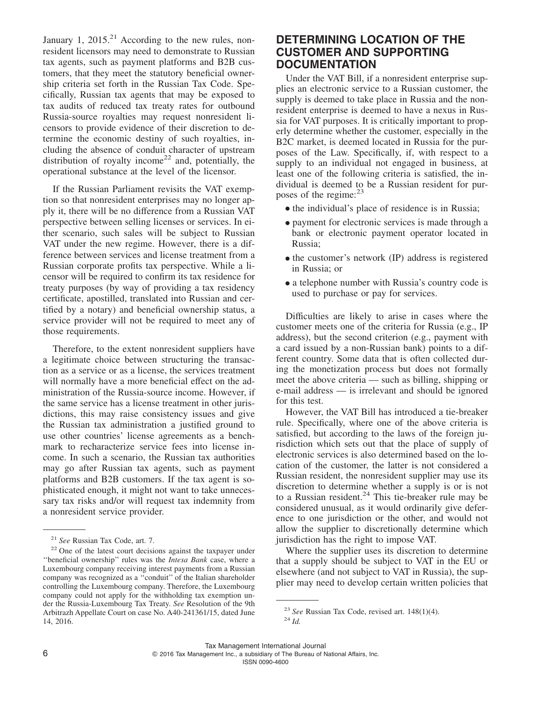January 1,  $2015.<sup>21</sup>$  According to the new rules, nonresident licensors may need to demonstrate to Russian tax agents, such as payment platforms and B2B customers, that they meet the statutory beneficial ownership criteria set forth in the Russian Tax Code. Specifically, Russian tax agents that may be exposed to tax audits of reduced tax treaty rates for outbound Russia-source royalties may request nonresident licensors to provide evidence of their discretion to determine the economic destiny of such royalties, including the absence of conduit character of upstream distribution of royalty income<sup>22</sup> and, potentially, the operational substance at the level of the licensor.

If the Russian Parliament revisits the VAT exemption so that nonresident enterprises may no longer apply it, there will be no difference from a Russian VAT perspective between selling licenses or services. In either scenario, such sales will be subject to Russian VAT under the new regime. However, there is a difference between services and license treatment from a Russian corporate profits tax perspective. While a licensor will be required to confirm its tax residence for treaty purposes (by way of providing a tax residency certificate, apostilled, translated into Russian and certified by a notary) and beneficial ownership status, a service provider will not be required to meet any of those requirements.

Therefore, to the extent nonresident suppliers have a legitimate choice between structuring the transaction as a service or as a license, the services treatment will normally have a more beneficial effect on the administration of the Russia-source income. However, if the same service has a license treatment in other jurisdictions, this may raise consistency issues and give the Russian tax administration a justified ground to use other countries' license agreements as a benchmark to recharacterize service fees into license income. In such a scenario, the Russian tax authorities may go after Russian tax agents, such as payment platforms and B2B customers. If the tax agent is sophisticated enough, it might not want to take unnecessary tax risks and/or will request tax indemnity from a nonresident service provider.

#### **DETERMINING LOCATION OF THE CUSTOMER AND SUPPORTING DOCUMENTATION**

Under the VAT Bill, if a nonresident enterprise supplies an electronic service to a Russian customer, the supply is deemed to take place in Russia and the nonresident enterprise is deemed to have a nexus in Russia for VAT purposes. It is critically important to properly determine whether the customer, especially in the B2C market, is deemed located in Russia for the purposes of the Law. Specifically, if, with respect to a supply to an individual not engaged in business, at least one of the following criteria is satisfied, the individual is deemed to be a Russian resident for purposes of the regime: $^{23}$ 

- the individual's place of residence is in Russia;
- payment for electronic services is made through a bank or electronic payment operator located in Russia;
- the customer's network (IP) address is registered in Russia; or
- a telephone number with Russia's country code is used to purchase or pay for services.

Difficulties are likely to arise in cases where the customer meets one of the criteria for Russia (e.g., IP address), but the second criterion (e.g., payment with a card issued by a non-Russian bank) points to a different country. Some data that is often collected during the monetization process but does not formally meet the above criteria — such as billing, shipping or e-mail address — is irrelevant and should be ignored for this test.

However, the VAT Bill has introduced a tie-breaker rule. Specifically, where one of the above criteria is satisfied, but according to the laws of the foreign jurisdiction which sets out that the place of supply of electronic services is also determined based on the location of the customer, the latter is not considered a Russian resident, the nonresident supplier may use its discretion to determine whether a supply is or is not to a Russian resident.<sup>24</sup> This tie-breaker rule may be considered unusual, as it would ordinarily give deference to one jurisdiction or the other, and would not allow the supplier to discretionally determine which jurisdiction has the right to impose VAT.

Where the supplier uses its discretion to determine that a supply should be subject to VAT in the EU or elsewhere (and not subject to VAT in Russia), the supplier may need to develop certain written policies that

Tax Management International Journal 2016 Tax Management Inc., a subsidiary of The Bureau of National Affairs, Inc.

<sup>21</sup> *See* Russian Tax Code, art. 7.

<sup>&</sup>lt;sup>22</sup> One of the latest court decisions against the taxpayer under ''beneficial ownership'' rules was the *Intesa Bank* case, where a Luxembourg company receiving interest payments from a Russian company was recognized as a ''conduit'' of the Italian shareholder controlling the Luxembourg company. Therefore, the Luxembourg company could not apply for the withholding tax exemption under the Russia-Luxembourg Tax Treaty. *See* Resolution of the 9th Arbitrazh Appellate Court on case No. A40-241361/15, dated June 14, 2016.

<sup>23</sup> *See* Russian Tax Code, revised art. 148(1)(4).

<sup>24</sup> *Id.*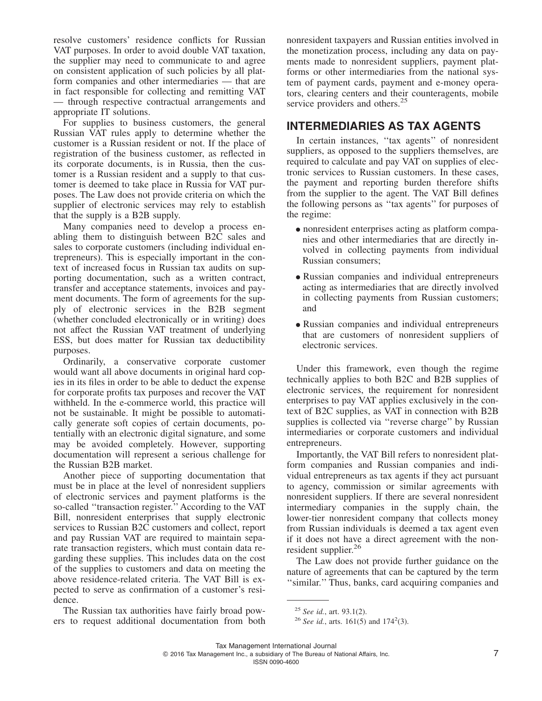resolve customers' residence conflicts for Russian VAT purposes. In order to avoid double VAT taxation, the supplier may need to communicate to and agree on consistent application of such policies by all platform companies and other intermediaries — that are in fact responsible for collecting and remitting VAT — through respective contractual arrangements and appropriate IT solutions.

For supplies to business customers, the general Russian VAT rules apply to determine whether the customer is a Russian resident or not. If the place of registration of the business customer, as reflected in its corporate documents, is in Russia, then the customer is a Russian resident and a supply to that customer is deemed to take place in Russia for VAT purposes. The Law does not provide criteria on which the supplier of electronic services may rely to establish that the supply is a B2B supply.

Many companies need to develop a process enabling them to distinguish between B2C sales and sales to corporate customers (including individual entrepreneurs). This is especially important in the context of increased focus in Russian tax audits on supporting documentation, such as a written contract, transfer and acceptance statements, invoices and payment documents. The form of agreements for the supply of electronic services in the B2B segment (whether concluded electronically or in writing) does not affect the Russian VAT treatment of underlying ESS, but does matter for Russian tax deductibility purposes.

Ordinarily, a conservative corporate customer would want all above documents in original hard copies in its files in order to be able to deduct the expense for corporate profits tax purposes and recover the VAT withheld. In the e-commerce world, this practice will not be sustainable. It might be possible to automatically generate soft copies of certain documents, potentially with an electronic digital signature, and some may be avoided completely. However, supporting documentation will represent a serious challenge for the Russian B2B market.

Another piece of supporting documentation that must be in place at the level of nonresident suppliers of electronic services and payment platforms is the so-called ''transaction register.'' According to the VAT Bill, nonresident enterprises that supply electronic services to Russian B2C customers and collect, report and pay Russian VAT are required to maintain separate transaction registers, which must contain data regarding these supplies. This includes data on the cost of the supplies to customers and data on meeting the above residence-related criteria. The VAT Bill is expected to serve as confirmation of a customer's residence.

The Russian tax authorities have fairly broad powers to request additional documentation from both nonresident taxpayers and Russian entities involved in the monetization process, including any data on payments made to nonresident suppliers, payment platforms or other intermediaries from the national system of payment cards, payment and e-money operators, clearing centers and their counteragents, mobile service providers and others.<sup>25</sup>

#### **INTERMEDIARIES AS TAX AGENTS**

In certain instances, ''tax agents'' of nonresident suppliers, as opposed to the suppliers themselves, are required to calculate and pay VAT on supplies of electronic services to Russian customers. In these cases, the payment and reporting burden therefore shifts from the supplier to the agent. The VAT Bill defines the following persons as ''tax agents'' for purposes of the regime:

- nonresident enterprises acting as platform companies and other intermediaries that are directly involved in collecting payments from individual Russian consumers;
- Russian companies and individual entrepreneurs acting as intermediaries that are directly involved in collecting payments from Russian customers; and
- Russian companies and individual entrepreneurs that are customers of nonresident suppliers of electronic services.

Under this framework, even though the regime technically applies to both B2C and B2B supplies of electronic services, the requirement for nonresident enterprises to pay VAT applies exclusively in the context of B2C supplies, as VAT in connection with B2B supplies is collected via ''reverse charge'' by Russian intermediaries or corporate customers and individual entrepreneurs.

Importantly, the VAT Bill refers to nonresident platform companies and Russian companies and individual entrepreneurs as tax agents if they act pursuant to agency, commission or similar agreements with nonresident suppliers. If there are several nonresident intermediary companies in the supply chain, the lower-tier nonresident company that collects money from Russian individuals is deemed a tax agent even if it does not have a direct agreement with the nonresident supplier.<sup>26</sup>

The Law does not provide further guidance on the nature of agreements that can be captured by the term ''similar.'' Thus, banks, card acquiring companies and

<sup>25</sup> *See id.*, art. 93.1(2).

<sup>&</sup>lt;sup>26</sup> *See id.*, arts. 161(5) and 174<sup>2</sup>(3).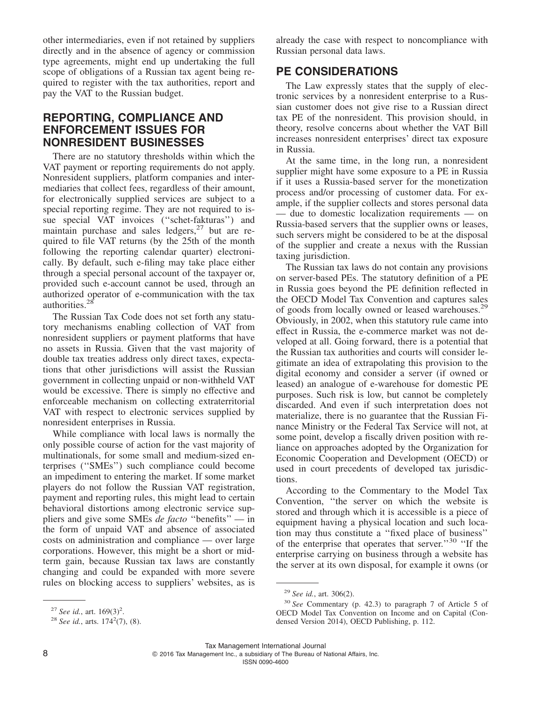other intermediaries, even if not retained by suppliers directly and in the absence of agency or commission type agreements, might end up undertaking the full scope of obligations of a Russian tax agent being required to register with the tax authorities, report and pay the VAT to the Russian budget.

#### **REPORTING, COMPLIANCE AND ENFORCEMENT ISSUES FOR NONRESIDENT BUSINESSES**

There are no statutory thresholds within which the VAT payment or reporting requirements do not apply. Nonresident suppliers, platform companies and intermediaries that collect fees, regardless of their amount, for electronically supplied services are subject to a special reporting regime. They are not required to issue special VAT invoices (''schet-fakturas'') and maintain purchase and sales ledgers, $27$  but are required to file VAT returns (by the 25th of the month following the reporting calendar quarter) electronically. By default, such e-filing may take place either through a special personal account of the taxpayer or, provided such e-account cannot be used, through an authorized operator of e-communication with the tax authorities.28

The Russian Tax Code does not set forth any statutory mechanisms enabling collection of VAT from nonresident suppliers or payment platforms that have no assets in Russia. Given that the vast majority of double tax treaties address only direct taxes, expectations that other jurisdictions will assist the Russian government in collecting unpaid or non-withheld VAT would be excessive. There is simply no effective and enforceable mechanism on collecting extraterritorial VAT with respect to electronic services supplied by nonresident enterprises in Russia.

While compliance with local laws is normally the only possible course of action for the vast majority of multinationals, for some small and medium-sized enterprises (''SMEs'') such compliance could become an impediment to entering the market. If some market players do not follow the Russian VAT registration, payment and reporting rules, this might lead to certain behavioral distortions among electronic service suppliers and give some SMEs *de facto* ''benefits'' — in the form of unpaid VAT and absence of associated costs on administration and compliance — over large corporations. However, this might be a short or midterm gain, because Russian tax laws are constantly changing and could be expanded with more severe rules on blocking access to suppliers' websites, as is

already the case with respect to noncompliance with Russian personal data laws.

#### **PE CONSIDERATIONS**

The Law expressly states that the supply of electronic services by a nonresident enterprise to a Russian customer does not give rise to a Russian direct tax PE of the nonresident. This provision should, in theory, resolve concerns about whether the VAT Bill increases nonresident enterprises' direct tax exposure in Russia.

At the same time, in the long run, a nonresident supplier might have some exposure to a PE in Russia if it uses a Russia-based server for the monetization process and/or processing of customer data. For example, if the supplier collects and stores personal data — due to domestic localization requirements — on Russia-based servers that the supplier owns or leases, such servers might be considered to be at the disposal of the supplier and create a nexus with the Russian taxing jurisdiction.

The Russian tax laws do not contain any provisions on server-based PEs. The statutory definition of a PE in Russia goes beyond the PE definition reflected in the OECD Model Tax Convention and captures sales of goods from locally owned or leased warehouses.<sup>29</sup> Obviously, in 2002, when this statutory rule came into effect in Russia, the e-commerce market was not developed at all. Going forward, there is a potential that the Russian tax authorities and courts will consider legitimate an idea of extrapolating this provision to the digital economy and consider a server (if owned or leased) an analogue of e-warehouse for domestic PE purposes. Such risk is low, but cannot be completely discarded. And even if such interpretation does not materialize, there is no guarantee that the Russian Finance Ministry or the Federal Tax Service will not, at some point, develop a fiscally driven position with reliance on approaches adopted by the Organization for Economic Cooperation and Development (OECD) or used in court precedents of developed tax jurisdictions.

According to the Commentary to the Model Tax Convention, ''the server on which the website is stored and through which it is accessible is a piece of equipment having a physical location and such location may thus constitute a ''fixed place of business'' of the enterprise that operates that server.''<sup>30</sup> ''If the enterprise carrying on business through a website has the server at its own disposal, for example it owns (or

2016 Tax Management Inc., a subsidiary of The Bureau of National Affairs, Inc.

ISSN 0090-4600

<sup>&</sup>lt;sup>27</sup> *See id.*, art.  $169(3)^2$ .

<sup>&</sup>lt;sup>28</sup> *See id.*, arts.  $174^2(7)$ , (8).

<sup>29</sup> *See id.*, art. 306(2).

<sup>30</sup> *See* Commentary (p. 42.3) to paragraph 7 of Article 5 of OECD Model Tax Convention on Income and on Capital (Condensed Version 2014), OECD Publishing, p. 112.